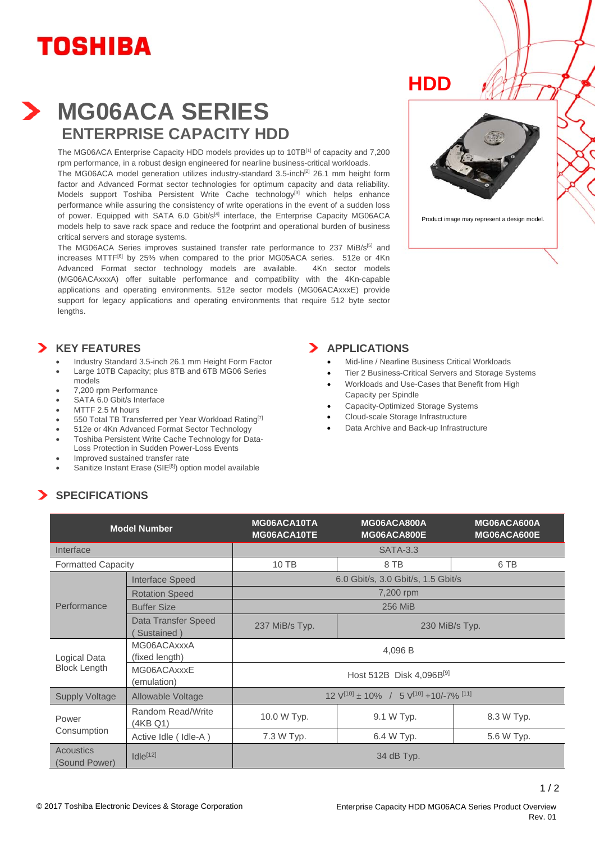# **TOSHIBA**



## **MG06ACA SERIES ENTERPRISE CAPACITY HDD**

The MG06ACA Enterprise Capacity HDD models provides up to 10TB<sup>[1]</sup> of capacity and 7,200 rpm performance, in a robust design engineered for nearline business-critical workloads.

The MG06ACA model generation utilizes industry-standard 3.5-inch<sup>[2]</sup> 26.1 mm height form factor and Advanced Format sector technologies for optimum capacity and data reliability. Models support Toshiba Persistent Write Cache technology<sup>[3]</sup> which helps enhance performance while assuring the consistency of write operations in the event of a sudden loss of power. Equipped with SATA 6.0 Gbit/s<sup>[4]</sup> interface, the Enterprise Capacity MG06ACA models help to save rack space and reduce the footprint and operational burden of business critical servers and storage systems.

The MG06ACA Series improves sustained transfer rate performance to 237 MiB/s<sup>[5]</sup> and increases MTTF<sup>[6]</sup> by 25% when compared to the prior MG05ACA series. 512e or 4Kn Advanced Format sector technology models are available. 4Kn sector models (MG06ACAxxxA) offer suitable performance and compatibility with the 4Kn-capable applications and operating environments. 512e sector models (MG06ACAxxxE) provide support for legacy applications and operating environments that require 512 byte sector lengths.

## **HDD**



Product image may represent a design model.

#### **KEY FEATURES**

- Industry Standard 3.5-inch 26.1 mm Height Form Factor
- Large 10TB Capacity; plus 8TB and 6TB MG06 Series models
- 7,200 rpm Performance
- **SATA 6.0 Gbit/s Interface**
- MTTF 2.5 M hours
- 550 Total TB Transferred per Year Workload Rating<sup>[7]</sup>
- 512e or 4Kn Advanced Format Sector Technology Toshiba Persistent Write Cache Technology for Data-Loss Protection in Sudden Power-Loss Events
- Improved sustained transfer rate
- Sanitize Instant Erase (SIE<sup>[8]</sup>) option model available

#### **APPLICATIONS**

- Mid-line / Nearline Business Critical Workloads
- Tier 2 Business-Critical Servers and Storage Systems
- Workloads and Use-Cases that Benefit from High Capacity per Spindle
- Capacity-Optimized Storage Systems
- Cloud-scale Storage Infrastructure
- Data Archive and Back-up Infrastructure

### **SPECIFICATIONS**

| <b>Model Number</b>                 |                                   | MG06ACA10TA<br>MG06ACA10TE                                                 | MG06ACA800A<br>MG06ACA800E | MG06ACA600A<br>MG06ACA600E |
|-------------------------------------|-----------------------------------|----------------------------------------------------------------------------|----------------------------|----------------------------|
| Interface                           |                                   | <b>SATA-3.3</b>                                                            |                            |                            |
| <b>Formatted Capacity</b>           |                                   | 10 TB                                                                      | 8 TB                       | 6 TB                       |
| Performance                         | <b>Interface Speed</b>            | 6.0 Gbit/s, 3.0 Gbit/s, 1.5 Gbit/s                                         |                            |                            |
|                                     | <b>Rotation Speed</b>             | 7,200 rpm                                                                  |                            |                            |
|                                     | <b>Buffer Size</b>                | <b>256 MiB</b>                                                             |                            |                            |
|                                     | Data Transfer Speed<br>Sustained) | 237 MiB/s Typ.                                                             | 230 MiB/s Typ.             |                            |
| Logical Data<br><b>Block Length</b> | MG06ACAxxxA<br>(fixed length)     | 4,096 B                                                                    |                            |                            |
|                                     | MG06ACAxxxE<br>(emulation)        | Host 512B Disk 4,096B[9]                                                   |                            |                            |
| <b>Supply Voltage</b>               | Allowable Voltage                 | $12$ V <sup>[10]</sup> ± 10% / 5 V <sup>[10]</sup> +10/-7% <sup>[11]</sup> |                            |                            |
| Power<br>Consumption                | Random Read/Write<br>(4KB Q1)     | 10.0 W Typ.                                                                | 9.1 W Typ.                 | 8.3 W Typ.                 |
|                                     | Active Idle (Idle-A)              | 7.3 W Typ.                                                                 | 6.4 W Typ.                 | 5.6 W Typ.                 |
| <b>Acoustics</b><br>(Sound Power)   | $Idle^{[12]}$                     | 34 dB Typ.                                                                 |                            |                            |